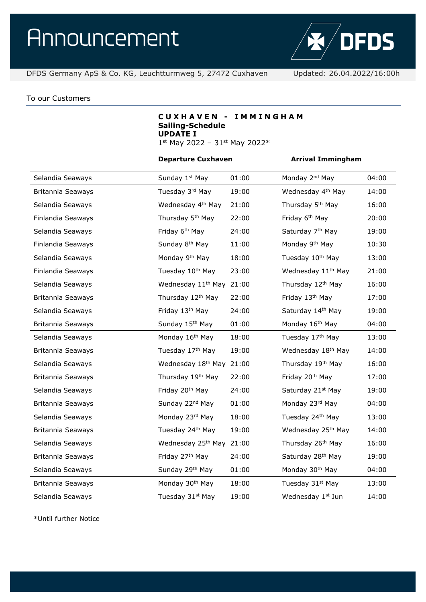

### To our Customers

# **C U X H A V E N - I M M I N G H A M Sailing-Schedule UPDATE I**

1st May 2022 - 31st May 2022\*

### **Departure Cuxhaven Arrival Immingham**

| Selandia Seaways  | Sunday 1 <sup>st</sup> May     | 01:00 | Monday 2 <sup>nd</sup> May     | 04:00 |
|-------------------|--------------------------------|-------|--------------------------------|-------|
| Britannia Seaways | Tuesday 3rd May                | 19:00 | Wednesday 4 <sup>th</sup> May  | 14:00 |
| Selandia Seaways  | Wednesday 4 <sup>th</sup> May  | 21:00 | Thursday 5 <sup>th</sup> May   | 16:00 |
| Finlandia Seaways | Thursday 5 <sup>th</sup> May   | 22:00 | Friday 6 <sup>th</sup> May     | 20:00 |
| Selandia Seaways  | Friday 6 <sup>th</sup> May     | 24:00 | Saturday 7 <sup>th</sup> May   | 19:00 |
| Finlandia Seaways | Sunday 8 <sup>th</sup> May     | 11:00 | Monday 9 <sup>th</sup> May     | 10:30 |
| Selandia Seaways  | Monday 9 <sup>th</sup> May     | 18:00 | Tuesday 10 <sup>th</sup> May   | 13:00 |
| Finlandia Seaways | Tuesday 10 <sup>th</sup> May   | 23:00 | Wednesday 11 <sup>th</sup> May | 21:00 |
| Selandia Seaways  | Wednesday 11 <sup>th</sup> May | 21:00 | Thursday 12 <sup>th</sup> May  | 16:00 |
| Britannia Seaways | Thursday 12 <sup>th</sup> May  | 22:00 | Friday 13 <sup>th</sup> May    | 17:00 |
| Selandia Seaways  | Friday 13th May                | 24:00 | Saturday 14th May              | 19:00 |
| Britannia Seaways | Sunday 15 <sup>th</sup> May    | 01:00 | Monday 16 <sup>th</sup> May    | 04:00 |
| Selandia Seaways  | Monday 16 <sup>th</sup> May    | 18:00 | Tuesday 17th May               | 13:00 |
| Britannia Seaways | Tuesday 17th May               | 19:00 | Wednesday 18 <sup>th</sup> May | 14:00 |
| Selandia Seaways  | Wednesday 18 <sup>th</sup> May | 21:00 | Thursday 19th May              | 16:00 |
| Britannia Seaways | Thursday 19th May              | 22:00 | Friday 20 <sup>th</sup> May    | 17:00 |
| Selandia Seaways  | Friday 20 <sup>th</sup> May    | 24:00 | Saturday 21 <sup>st</sup> May  | 19:00 |
| Britannia Seaways | Sunday 22 <sup>nd</sup> May    | 01:00 | Monday 23rd May                | 04:00 |
| Selandia Seaways  | Monday 23rd May                | 18:00 | Tuesday 24th May               | 13:00 |
| Britannia Seaways | Tuesday 24th May               | 19:00 | Wednesday 25 <sup>th</sup> May | 14:00 |
| Selandia Seaways  | Wednesday 25 <sup>th</sup> May | 21:00 | Thursday 26 <sup>th</sup> May  | 16:00 |
| Britannia Seaways | Friday 27th May                | 24:00 | Saturday 28 <sup>th</sup> May  | 19:00 |
| Selandia Seaways  | Sunday 29th May                | 01:00 | Monday 30 <sup>th</sup> May    | 04:00 |
| Britannia Seaways | Monday 30 <sup>th</sup> May    | 18:00 | Tuesday 31 <sup>st</sup> May   | 13:00 |
| Selandia Seaways  | Tuesday 31st May               | 19:00 | Wednesday 1st Jun              | 14:00 |

\*Until further Notice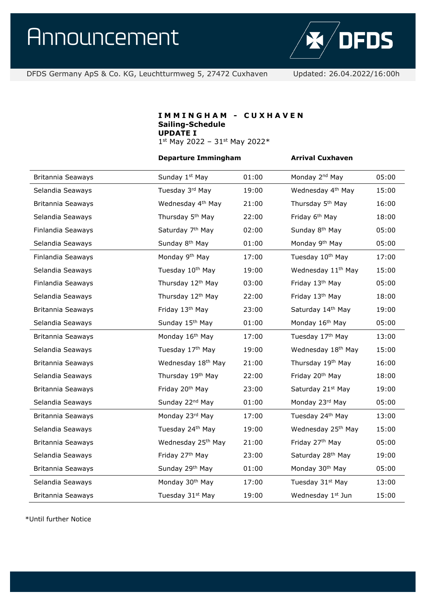

DFDS Germany ApS & Co. KG, Leuchtturmweg 5, 27472 Cuxhaven Updated: 26.04.2022/16:00h

# **I M M I N G H A M - C U X H A V E N Sailing-Schedule UPDATE I** 1st May 2022 - 31st May 2022\*

#### **Departure Immingham Arrival Cuxhaven**

| Britannia Seaways | Sunday 1st May                 | 01:00 | Monday 2 <sup>nd</sup> May     | 05:00 |
|-------------------|--------------------------------|-------|--------------------------------|-------|
| Selandia Seaways  | Tuesday 3rd May                | 19:00 | Wednesday 4 <sup>th</sup> May  | 15:00 |
| Britannia Seaways | Wednesday 4 <sup>th</sup> May  | 21:00 | Thursday 5 <sup>th</sup> May   | 16:00 |
| Selandia Seaways  | Thursday 5 <sup>th</sup> May   | 22:00 | Friday 6 <sup>th</sup> May     | 18:00 |
| Finlandia Seaways | Saturday 7 <sup>th</sup> May   | 02:00 | Sunday 8 <sup>th</sup> May     | 05:00 |
| Selandia Seaways  | Sunday 8 <sup>th</sup> May     | 01:00 | Monday 9 <sup>th</sup> May     | 05:00 |
| Finlandia Seaways | Monday 9 <sup>th</sup> May     | 17:00 | Tuesday 10th May               | 17:00 |
| Selandia Seaways  | Tuesday 10th May               | 19:00 | Wednesday 11 <sup>th</sup> May | 15:00 |
| Finlandia Seaways | Thursday 12 <sup>th</sup> May  | 03:00 | Friday 13 <sup>th</sup> May    | 05:00 |
| Selandia Seaways  | Thursday 12 <sup>th</sup> May  | 22:00 | Friday 13th May                | 18:00 |
| Britannia Seaways | Friday 13 <sup>th</sup> May    | 23:00 | Saturday 14th May              | 19:00 |
| Selandia Seaways  | Sunday 15th May                | 01:00 | Monday 16 <sup>th</sup> May    | 05:00 |
| Britannia Seaways | Monday 16 <sup>th</sup> May    | 17:00 | Tuesday 17th May               | 13:00 |
| Selandia Seaways  | Tuesday 17th May               | 19:00 | Wednesday 18 <sup>th</sup> May | 15:00 |
| Britannia Seaways | Wednesday 18 <sup>th</sup> May | 21:00 | Thursday 19th May              | 16:00 |
| Selandia Seaways  | Thursday 19th May              | 22:00 | Friday 20 <sup>th</sup> May    | 18:00 |
| Britannia Seaways | Friday 20 <sup>th</sup> May    | 23:00 | Saturday 21 <sup>st</sup> May  | 19:00 |
| Selandia Seaways  | Sunday 22 <sup>nd</sup> May    | 01:00 | Monday 23rd May                | 05:00 |
| Britannia Seaways | Monday 23rd May                | 17:00 | Tuesday 24th May               | 13:00 |
| Selandia Seaways  | Tuesday 24th May               | 19:00 | Wednesday 25 <sup>th</sup> May | 15:00 |
| Britannia Seaways | Wednesday 25 <sup>th</sup> May | 21:00 | Friday 27 <sup>th</sup> May    | 05:00 |
| Selandia Seaways  | Friday 27th May                | 23:00 | Saturday 28 <sup>th</sup> May  | 19:00 |
| Britannia Seaways | Sunday 29th May                | 01:00 | Monday 30 <sup>th</sup> May    | 05:00 |
| Selandia Seaways  | Monday 30 <sup>th</sup> May    | 17:00 | Tuesday 31 <sup>st</sup> May   | 13:00 |
| Britannia Seaways | Tuesday 31st May               | 19:00 | Wednesday 1st Jun              | 15:00 |

\*Until further Notice